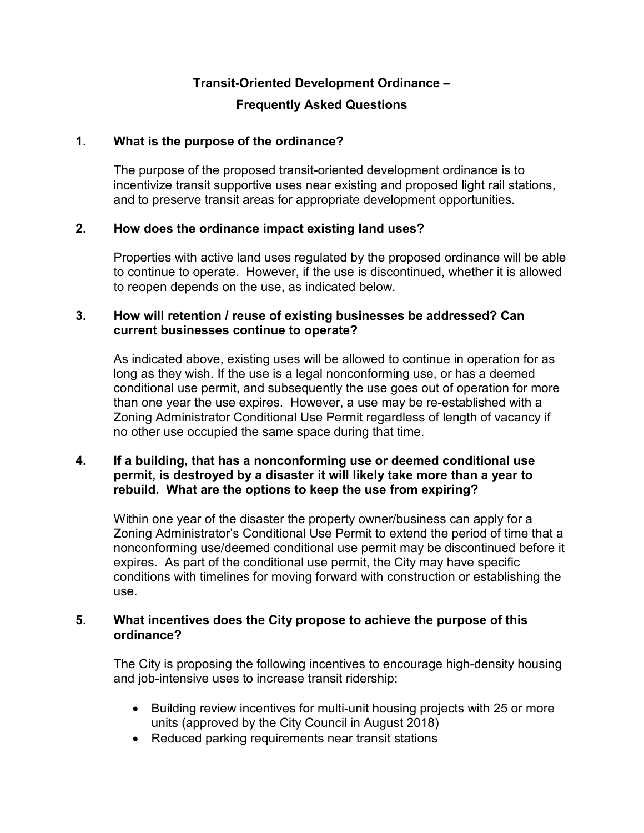# **Transit-Oriented Development Ordinance –**

## **Frequently Asked Questions**

## **1. What is the purpose of the ordinance?**

The purpose of the proposed transit-oriented development ordinance is to incentivize transit supportive uses near existing and proposed light rail stations, and to preserve transit areas for appropriate development opportunities.

## **2. How does the ordinance impact existing land uses?**

Properties with active land uses regulated by the proposed ordinance will be able to continue to operate. However, if the use is discontinued, whether it is allowed to reopen depends on the use, as indicated below.

## **3. How will retention / reuse of existing businesses be addressed? Can current businesses continue to operate?**

As indicated above, existing uses will be allowed to continue in operation for as long as they wish. If the use is a legal nonconforming use, or has a deemed conditional use permit, and subsequently the use goes out of operation for more than one year the use expires. However, a use may be re-established with a Zoning Administrator Conditional Use Permit regardless of length of vacancy if no other use occupied the same space during that time.

## **4. If a building, that has a nonconforming use or deemed conditional use permit, is destroyed by a disaster it will likely take more than a year to rebuild. What are the options to keep the use from expiring?**

Within one year of the disaster the property owner/business can apply for a Zoning Administrator's Conditional Use Permit to extend the period of time that a nonconforming use/deemed conditional use permit may be discontinued before it expires. As part of the conditional use permit, the City may have specific conditions with timelines for moving forward with construction or establishing the use.

## **5. What incentives does the City propose to achieve the purpose of this ordinance?**

The City is proposing the following incentives to encourage high-density housing and job-intensive uses to increase transit ridership:

- Building review incentives for multi-unit housing projects with 25 or more units (approved by the City Council in August 2018)
- Reduced parking requirements near transit stations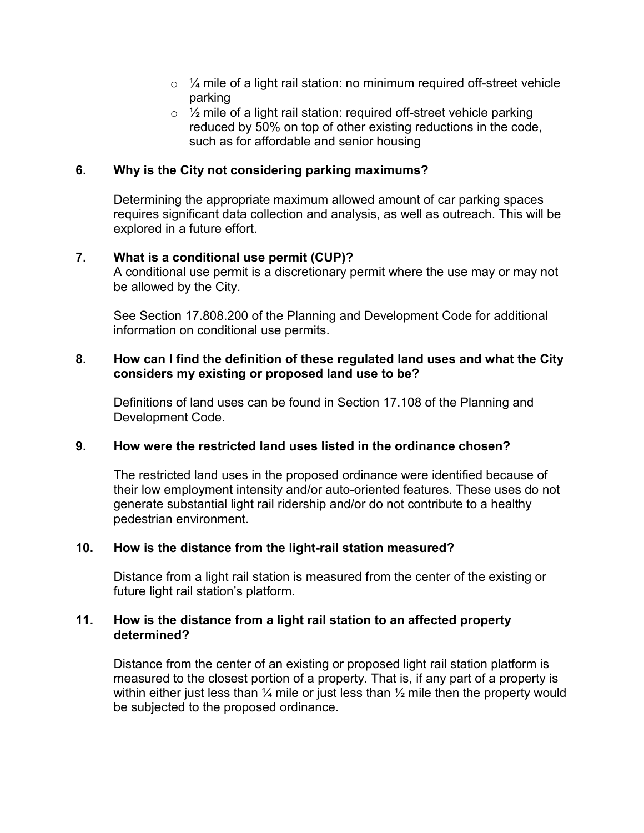- $\circ$  % mile of a light rail station: no minimum required off-street vehicle parking
- $\circ$  % mile of a light rail station: required off-street vehicle parking reduced by 50% on top of other existing reductions in the code, such as for affordable and senior housing

## **6. Why is the City not considering parking maximums?**

Determining the appropriate maximum allowed amount of car parking spaces requires significant data collection and analysis, as well as outreach. This will be explored in a future effort.

## **7. What is a conditional use permit (CUP)?**

A conditional use permit is a discretionary permit where the use may or may not be allowed by the City.

See Section 17.808.200 of the Planning and Development Code for additional information on conditional use permits.

#### **8. How can I find the definition of these regulated land uses and what the City considers my existing or proposed land use to be?**

Definitions of land uses can be found in [Section 17.108](http://www.qcode.us/codes/sacramento/view.php?topic=17-i-17_108&frames=on) of the Planning and Development Code.

## **9. How were the restricted land uses listed in the ordinance chosen?**

The restricted land uses in the proposed ordinance were identified because of their low employment intensity and/or auto-oriented features. These uses do not generate substantial light rail ridership and/or do not contribute to a healthy pedestrian environment.

## **10. How is the distance from the light-rail station measured?**

Distance from a light rail station is measured from the center of the existing or future light rail station's platform.

#### **11. How is the distance from a light rail station to an affected property determined?**

Distance from the center of an existing or proposed light rail station platform is measured to the closest portion of a property. That is, if any part of a property is within either just less than  $\frac{1}{4}$  mile or just less than  $\frac{1}{2}$  mile then the property would be subjected to the proposed ordinance.